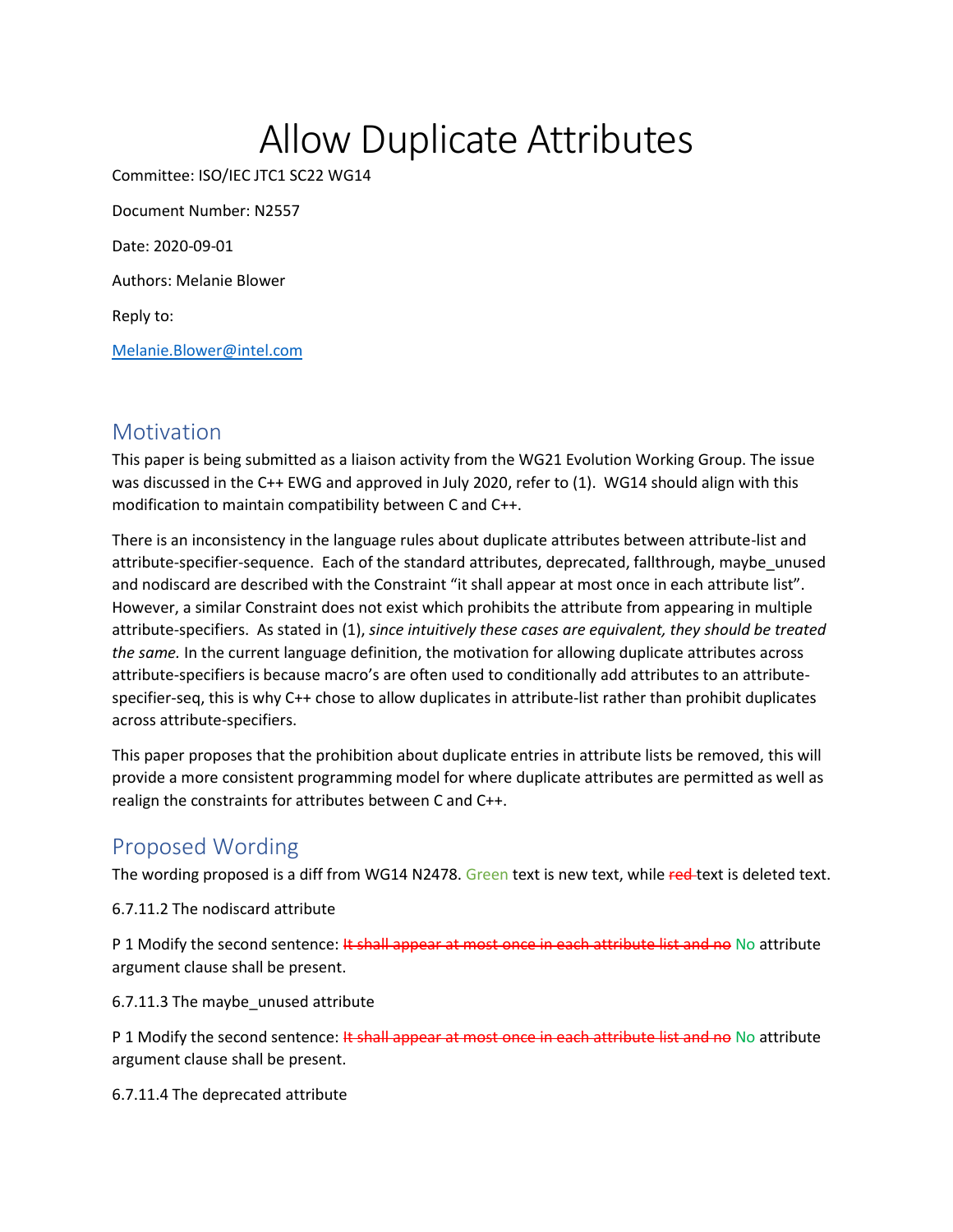# Allow Duplicate Attributes

Committee: ISO/IEC JTC1 SC22 WG14 Document Number: N2557

Date: 2020-09-01

Authors: Melanie Blower

Reply to:

[Melanie.Blower@intel.com](mailto:Melanie.Blower@intel.com)

#### **Motivation**

This paper is being submitted as a liaison activity from the WG21 Evolution Working Group. The issue was discussed in the C++ EWG and approved in July 2020, refer to (1). WG14 should align with this modification to maintain compatibility between C and C++.

There is an inconsistency in the language rules about duplicate attributes between attribute-list and attribute-specifier-sequence. Each of the standard attributes, deprecated, fallthrough, maybe\_unused and nodiscard are described with the Constraint "it shall appear at most once in each attribute list". However, a similar Constraint does not exist which prohibits the attribute from appearing in multiple attribute-specifiers. As stated in (1), *since intuitively these cases are equivalent, they should be treated the same.* In the current language definition, the motivation for allowing duplicate attributes across attribute-specifiers is because macro's are often used to conditionally add attributes to an attributespecifier-seq, this is why C++ chose to allow duplicates in attribute-list rather than prohibit duplicates across attribute-specifiers.

This paper proposes that the prohibition about duplicate entries in attribute lists be removed, this will provide a more consistent programming model for where duplicate attributes are permitted as well as realign the constraints for attributes between C and C++.

## Proposed Wording

The wording proposed is a diff from WG14 N2478. Green text is new text, while red-text is deleted text.

6.7.11.2 The nodiscard attribute

P 1 Modify the second sentence: It shall appear at most once in each attribute list and no No attribute argument clause shall be present.

6.7.11.3 The maybe\_unused attribute

P 1 Modify the second sentence: It shall appear at most once in each attribute list and no No attribute argument clause shall be present.

6.7.11.4 The deprecated attribute